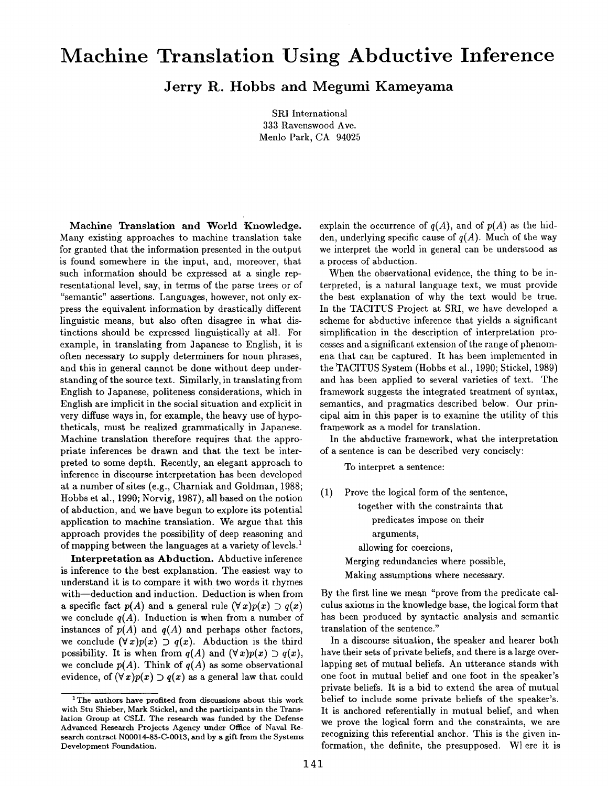## **Machine Translation Using Abductive Inference**

**Jerry R. Hobbs and Megumi Kameyama** 

SRI International 333 Ravenswood Ave. Menlo Park, CA 94025

Machine Translation and World Knowledge. Many existing approaches to machine translation take for granted that the information presented in the output is found somewhere in the input, and, moreover, that such information should be expressed at a single representational level, say, in terms of the parse trees or of "semantic" assertions. Languages, however, not only express the equivalent information by drastically different linguistic means, but also often disagree in what distinctions should be expressed linguistically at all. For example, in translating from Japanese to English, it is often necessary to supply determiners for noun phrases, and this in general cannot be done without deep understanding of the source text. Similarly, in translating from English to Japanese, politeness considerations, which in English are implicit in the social situation and explicit in very diffuse ways in, for example, the heavy use of hypotheticals, must be realized grammatically in Japanese. Machine translation therefore requires that the appropriate inferences be drawn and that the text be interpreted to some depth. Recently, an elegant approach to inference in discourse interpretation has been developed at a number of sites (e.g., Charniak and Goldman, 1988; Hobbs et al., 1990; Norvig, 1987), all based on the notion of abduction, and we have begun to explore its potential application to machine translation. We argue that this approach provides the possibility of deep reasoning and of mapping between the languages at a variety of levels.<sup>1</sup>

Interpretation as Abduction. Abductive inference is inference to the best explanation. The easiest way to understand it is to compare it with two words it rhymes with-deduction and induction. Deduction is when from a specific fact  $p(A)$  and a general rule  $(\forall x)p(x) \supset q(x)$ we conclude  $q(A)$ . Induction is when from a number of instances of  $p(A)$  and  $q(A)$  and perhaps other factors, we conclude  $(\forall x)p(x) \supset q(x)$ . Abduction is the third possibility. It is when from  $q(A)$  and  $(\forall x)p(x) \supset q(x)$ , we conclude  $p(A)$ . Think of  $q(A)$  as some observational evidence, of  $(\forall x)p(x) \supset q(x)$  as a general law that could explain the occurrence of  $q(A)$ , and of  $p(A)$  as the hidden, underlying specific cause of *q(A).* Much of the way we interpret the world in general can be understood as a process of abduction.

When the observational evidence, the thing to be interpreted, is a natural language text, we must provide the best explanation of why the text would be true. In the TACITUS Project at SRI, we have developed a scheme for abductive inference that yields a significant simplification in the description of interpretation processes and a significant extension of the range of phenomena that can be captured. It has been implemented in the TACITUS System (Hobbs et al., 1990; Stickel, 1989) and has been applied to several varieties of text. The framework suggests the integrated treatment of syntax, semantics, and pragmatics described below. Our principal aim in this paper is to examine the utility of this framework as a model for translation.

In the abductive framework, what the interpretation of a sentence is can be described very concisely:

To interpret a sentence:

(1) Prove the logical form of the sentence, together with the constraints that predicates impose on their arguments, allowing for coercions, Merging redundancies where possible, Making assumptions where necessary.

By the first line we mean "prove from the predicate calculus axioms in the knowledge base, the logical form that has been produced by syntactic analysis and semantic translation of the sentence."

In a discourse situation, the speaker and hearer both have their sets of private beliefs, and there is a large overlapping set of mutual beliefs. An utterance stands with one foot in mutual belief and one foot in the speaker's private beliefs. It is a bid to extend the area of mutual belief to include some private beliefs of the speaker's. It is anchored referentially in mutual belief, and when we prove the logical form and the constraints, we are recognizing this referential anchor. This is the given information, the definite, the presupposed. Where it is

<sup>&</sup>lt;sup>1</sup>The authors have profited from discussions about this work with Stu Shieber, Mark Stickel, and the participants in the Translation Group at CSLI. The research was funded by the Defense Advanced Research Projects Agency under Office of Naval Research contract N00014-85-C-0013, and by a gift from the Systems Development Foundation.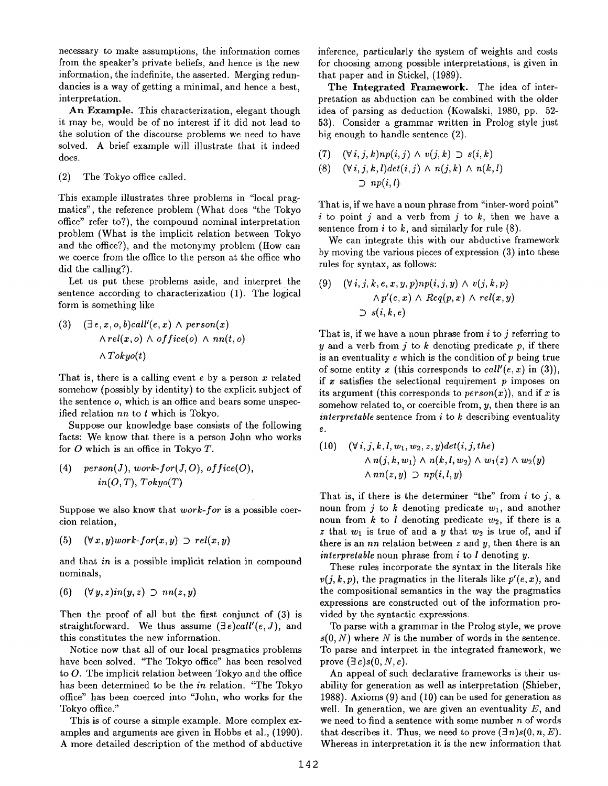necessary to make assumptions, the information comes from the speaker's private beliefs, and hence is the new information, the indefinite, the asserted. Merging redundancies is a way of getting a minimal, and hence a best, interpretation.

An Example. This characterization, elegant though it may be, would be of no interest if it did not lead to the solution of the discourse problems we need to have solved. A brief example will illustrate that it indeed does.

(2) The Tokyo office called.

This example illustrates three problems in "local pragmatics", the reference problem (What does "the Tokyo office" refer to?), the compound nominal interpretation problem (What is the implicit relation between Tokyo and the office?), and the metonymy problem (How can we coerce from the office to the person at the office who did the calling?).

Let us put these problems aside, and interpret the sentence according to characterization (1). The logical form is something like

(3) 
$$
(\exists e, x, o, b) call'(e, x) \land person(x)
$$

$$
\land rel(x, o) \land office(o) \land nn(t, o)
$$

$$
\land Tokyo(t)
$$

That is, there is a calling event  $e$  by a person  $x$  related somehow (possibly by identity) to the explicit subject of the sentence o, which is an office and bears some unspecified relation *nn* to t which is Tokyo.

Suppose our knowledge base consists of the following facts: We know that there is a person John who works for O which is an office in Tokyo T.

(4) 
$$
person(J), work-for(J, O), office(O),
$$
  
 $in(O, T), Tokyo(T)$ 

Suppose we also know that *work-for* is a possible coercion relation,

(5)  $(\forall x, y)$ *work-for* $(x, y)$  *D rel* $(x, y)$ 

and that *in* is a possible implicit relation in compound nominals,

$$
(6) \quad (\forall y, z) \in i \cap (y, z) \supset nn(z, y)
$$

Then the proof of all but the first conjunct of (3) is straightforward. We thus assume (3e)call'(e, *J),* and this constitutes the new information.

Notice now that all of our local pragmatics problems have been solved. "The Tokyo office" has been resolved to O. The implicit relation between Tokyo and the office has been determined to be the *in* relation. "The Tokyo office" has been coerced into "John, who works for the Tokyo office."

This is of course a simple example. More complex examples and arguments are given in Hobbs et al., (1990). A more detailed description of the method of abductive inference, particularly the system of weights and costs for choosing among possible interpretations, is given in that paper and in Stickel, (1989).

The Integrated Framework. The idea of interpretation as abduction can be combined with the older idea of parsing as deduction (Kowalski, 1980, pp. 52- 53). Consider a grammar written in Prolog style just big enough to handle sentence (2).

(7) 
$$
(\forall i, j, k) np(i, j) \land v(j, k) \supset s(i, k)
$$
  
\n(8)  $(\forall i, j, k, l) det(i, j) \land n(j, k) \land n(k, l)$   
\n $\supset np(i, l)$ 

That is, if we have a noun phrase from "inter-word point" i to point j and a verb from j to  $k$ , then we have a sentence from  $i$  to  $k$ , and similarly for rule  $(8)$ .

We can integrate this with our abductive framework by moving the various pieces of expression (3) into these rules for syntax, as follows:

(9) 
$$
(\forall i, j, k, e, x, y, p) np(i, j, y) \wedge v(j, k, p)
$$

$$
\wedge p'(e, x) \wedge Rep(p, x) \wedge rel(x, y)
$$

$$
\supset s(i, k, e)
$$

That is, if we have a noun phrase from  $i$  to  $j$  referring to y and a verb from j to k denoting predicate p, if there is an eventuality  $e$  which is the condition of  $p$  being true of some entity x (this corresponds to *call'(e, x)* in (3)), if  $x$  satisfies the selectional requirement  $p$  imposes on its argument (this corresponds to  $person(x)$ ), and if x is somehow related to, or coercible from,  $y$ , then there is an *interpretable* sentence from i to k describing eventuality e.

(10) 
$$
(\forall i, j, k, l, w_1, w_2, z, y) det(i, j, the)
$$

$$
\land n(j, k, w_1) \land n(k, l, w_2) \land w_1(z) \land w_2(y)
$$

$$
\land nn(z, y) \supset np(i, l, y)
$$

That is, if there is the determiner "the" from  $i$  to  $j$ , a noun from j to k denoting predicate  $w_1$ , and another noun from  $k$  to  $l$  denoting predicate  $w_2$ , if there is a z that  $w_1$  is true of and a y that  $w_2$  is true of, and if there is an  $nn$  relation between  $z$  and  $y$ , then there is an *interpretable* noun phrase from *i* to *l* denoting *y*.

These rules incorporate the syntax in the literals like  $v(j, k, p)$ , the pragmatics in the literals like  $p'(e, x)$ , and the compositional semantics in the way the pragmatics expressions are constructed out of the information provided by the syntactic expressions.

To parse with a grammar in the Prolog style, we prove  $s(0, N)$  where N is the number of words in the sentence. To parse and interpret in the integrated framework, we prove  $(\exists e)s(0, N, e)$ .

An appeal of such declarative frameworks is their usability for generation as well as interpretation (Shieber, 1988). Axioms (9) and (10) can be used for generation as well. In generation, we are given an eventuality  $E$ , and we need to find a sentence with some number  $n$  of words that describes it. Thus, we need to prove  $(\exists n)s(0, n, E)$ . Whereas in interpretation it is the new information that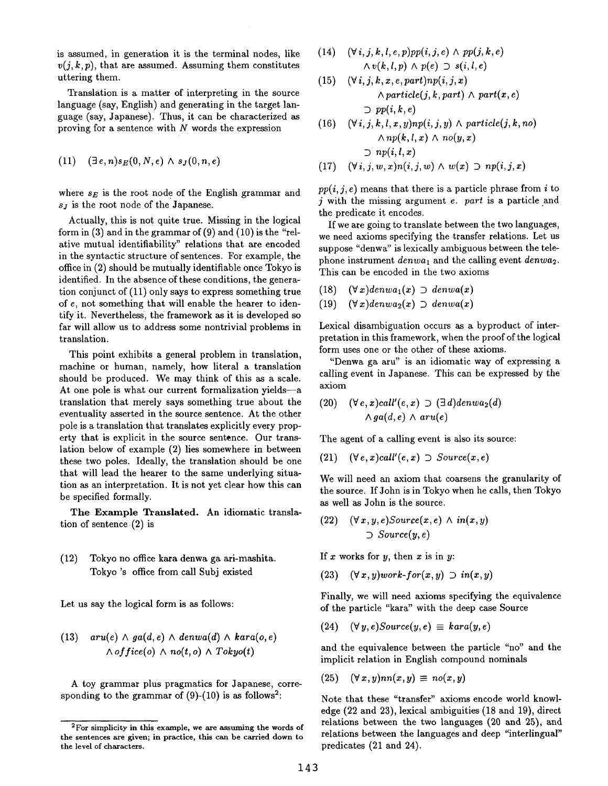is assumed, in generation it is the terminal nodes, like  $v(j,k,p)$ , that are assumed. Assuming them constitutes uttering them.

Translation is a matter of interpreting in the source language (say, English) and generating in the target language (say, Japanese). Thus, it can be characterized as proving for a sentence with  $N$  words the expression

$$
(11) \quad (\exists e, n) s_E(0, N, e) \wedge s_J(0, n, e)
$$

where  $s_E$  is the root node of the English grammar and  $s_j$  is the root node of the Japanese.

Actually, this is not quite true. Missing in the logical form in (3) and in the grammar of (9) and (10) is the "relative mutual identifiability" relations that are encoded in the syntactic structure of sentences. For example, the office in (2) should be mutually identifiable once Tokyo is identified. In the absence of these conditions, the generation conjunct of (11) only says to express something true of e, not something that will enable the hearer to identify it. Nevertheless, the: framework as it is developed so far will allow us to address some nontrivial problems in translation.

This point exhibits a general problem in translation, machine or human, namely, how literal a translation should be produced. We may think of this as a scale. At one pole is what our current formalization yields-a translation that merely says something true about the eventuality asserted in the source sentence. At the other pole is a translation that translates explicitly every property that is explicit in the source sentence. Our translation below of example (2) lies somewhere in between these two poles. Ideally, the translation should be one that will lead the hearer to the same underlying situation as an interpretation. It is not yet clear how this can be specified formally.

The Example Translated. An idiomatic translation of sentence (2) is

## (12) Tokyo no office kara denwa ga ari-mashita. Tokyo's office from call Subj existed

Let us say the logical form is as follows:

(13) 
$$
aru(e) \wedge ga(d, e) \wedge denwa(d) \wedge kara(o, e)
$$
\n $\wedge \text{ of } fice(o) \wedge no(t, o) \wedge \text{ Tokyo}(t)$ 

A toy grammar plus pragmatics for Japanese, corresponding to the grammar of  $(9)-(10)$  is as follows<sup>2</sup>:

(14) 
$$
(\forall i, j, k, l, e, p) pp(i, j, e) \land pp(j, k, e)
$$

$$
\land v(k, l, p) \land p(e) \supset s(i, l, e)
$$

(15) 
$$
(\forall i, j, k, x, e, part) np(i, j, x)
$$
  
  $\land$  particle $(j, k, part) \land$  part $(x, e)$   
 $\supset pp(i, k, e)$ 

(16) 
$$
(\forall i, j, k, l, x, y) \cap p(i, j, y) \land \text{particle}(j, k, n_o)
$$

$$
\land \text{np}(k, l, x) \land \text{no}(y, x)
$$

$$
\supset \text{np}(i, l, x)
$$

$$
(17) \quad (\forall i, j, w, x) \cap (i, j, w) \land w(x) \supset \text{np}(i, j, x)
$$

 $pp(i, j, e)$  means that there is a particle phrase from i to j with the missing argument e. part is a particle and the predicate it encodes.

If we are going to translate between the two languages, we need axioms specifying the transfer relations. Let us suppose "denwa" is lexically ambiguous between the telephone instrument *denwa<sub>1</sub>* and the calling event *denwa*<sub>2</sub>. This can be encoded in the two axioms

- (18)  $(\forall x)$ *denwa*<sub>1</sub>(*x*)  $\exists$  *denwa*(*x*)
- $(19)$   $(\forall x)$ denwa<sub>2</sub>(x)  $\supset$  denwa(x)

Lexical disambiguation occurs as a byproduct of interpretation in this framework, when the proof of the logical form uses one or the other of these axioms.

"Denwa ga aru" is an idiomatic way of expressing a calling event in Japanese. This can be expressed by the axiom

(20) 
$$
(\forall e, x) \text{call}'(e, x) \supset (\exists d) \text{denwa}_2(d)
$$
  $\land \text{ga}(d, e) \land \text{aru}(e)$ 

The agent of a calling event is also its source:

 $(21)$   $(\forall e, x)$ *call'* $(e, x) \supset$  *Source* $(x, e)$ 

We will need an axiom that coarsens the granularity of the source. If John is in Tokyo when he calls, then Tokyo as well as John is the source.

 $(22)$   $(\forall x, y, e)$ Source $(x, e) \wedge in(x, y)$ *D Source(y, e)* 

If  $x$  works for  $y$ , then  $x$  is in  $y$ :

(23) *(Vx,y)work-for(z,y) D in(z,y)* 

Finally, we will need axioms specifying the equivalence of the particle "kara" with the deep case Source

 $(24)$   $(\forall y, e) Source(y, e) \equiv kara(y, e)$ 

and the equivalence between the particle "no" and the implicit relation in English compound nominals

$$
(25) \quad (\forall x, y)nn(x, y) \equiv no(x, y)
$$

Note that these "transfer" axioms encode world knowledge (22 and 23), lexical ambiguities (18 and 19), direct relations between the two languages (20 and 25), and relations between the languages and deep "interlingual" predicates (21 and 24).

<sup>&</sup>lt;sup>2</sup>For simplicity in this example, we are assuming the words of the sentences are given; in practice, this can be carried down to the level of characters.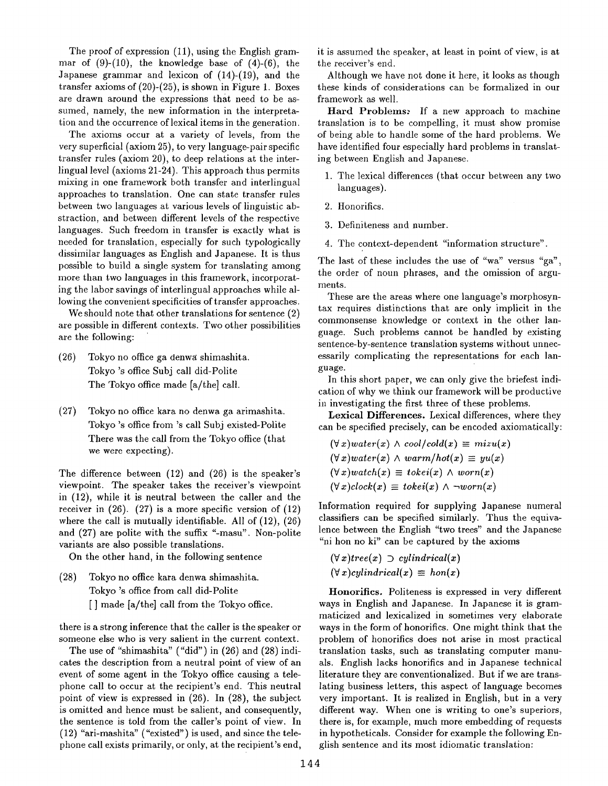The proof of expression (11), using the English grammar of  $(9)-(10)$ , the knowledge base of  $(4)-(6)$ , the Japanese grammar and lexicon of (14)-(19), and the transfer axioms of (20)-(25), is shown in Figure 1. Boxes are drawn around the expressions that need to be assumed, namely, the new information in the interpretation and the occurrence of lexical items in the generation.

The axioms occur at a variety of levels, from the very superficial (axiom 25), to very language-pair specific transfer rules (axiom 20), to deep relations at the interlingual level (axioms 21-24). This approach thus permits mixing in one framework both transfer and interlingual approaches to translation. One can state transfer rules between two languages at various levels of linguistic abstraction, and between different levels of the respective languages. Such freedom in transfer is exactly what is needed for translation, especially for such typologically dissimilar languages as English and Japanese. It is thus possible to build a single system for translating among more than two languages in this framework, incorporating the labor savings of interlingual approaches while allowing the convenient specificities of transfer approaches.

We should note that other translations for sentence (2) are possible in different contexts. Two other possibilities are the following:

- (26) Tokyo no office ga denwg shimashita. Tokyo's office Subj call did-Polite The Tokyo office made [a/the] call.
- (27) Tokyo no office kara no denwa ga arimashita. Tokyo's office from's call Subj existed-Polite There was the call from the Tokyo office (that we were expecting).

The difference between (12) and (26) is the speaker's viewpoint. The speaker takes the receiver's viewpoint in (12), while it is neutral between the caller and the receiver in  $(26)$ .  $(27)$  is a more specific version of  $(12)$ where the call is mutually identifiable. All of (12), (26) and (27) are polite with the suffix "-masu". Non-polite variants are also possible translations.

On the other hand, in the following sentence

(28) Tokyo no office kara denwa shimashita. Tokyo's office from call did-Polite [] made [a/the] call from the Tokyo office.

there is a strong inference that the caller is the speaker or someone else who is very salient in the current context.

The use of "shimashita" ("did") in  $(26)$  and  $(28)$  indicates the description from a neutral point of view of an event of some agent in the Tokyo office causing a telephone call to occur at the recipient's end. This neutral point of view is expressed in (26). In (28), the subject is omitted and hence must be salient, and consequently, the sentence is told from the caller's point of view. In  $(12)$  "ari-mashita" ("existed") is used, and since the telephone call exists primarily, or only, at the recipient's end, it is assumed the speaker, at least in point of view, is at the receiver's end.

Although we have not done it here, it looks as though these kinds of considerations can be formalized in our framework as well.

Hard Problems: If a new approach to machine translation is to be compelling, it must show promise of being able to handle some of the hard problems. We have identified four especially hard problems in translating between English and Japanese.

- 1. The lexical differences (that occur between any two languages).
- 2. Honorifics.
- 3. Definiteness and number.
- 4. The context-dependent "information structure".

The last of these includes the use of "wa" versus "ga", the order of noun phrases, and the omission of arguments.

These are the areas where one language's morphosyntax requires distinctions that are only implicit in the commonsense knowledge or context in the other language. Such problems cannot be handled by existing sentence-by-sentence translation systems without unnecessarily complicating the representations for each language.

In this short paper, we can only give the briefest indication of why we think our framework will be productive in investigating the first three of these problems.

Lexical Differences. Lexical differences, where they can be specified precisely, can be encoded axiomatically:

 $(\forall x) \text{water}(x) \land \text{cool/cold}(x) \equiv \text{mixu}(x)$  $(\forall x) \text{water}(x) \land \text{warm}/\text{hot}(x) \equiv \text{yu}(x)$  $(\forall x) \text{watch}(x) \equiv \text{token}(x) \land \text{worm}(x)$  $(\forall x) clock(x) \equiv token(x) \land \neg worn(x)$ 

Information required for supplying Japanese numeral classifiers can be specified similarly. Thus the equivalence between the English "two trees" and the Japanese *"hi* hon no ki" can be captured by the axioms

$$
(\forall x) tree(x) \supset cylindrical(x)
$$
  

$$
(\forall x) cylindrical(x) \equiv hon(x)
$$

Honorifics. Politeness is expressed in very different ways in English and Japanese. In Japanese it is grammaticized and lexicalized in sometimes very elaborate ways in the form of honorifics. One might think that the problem of honorifics does not arise in most practical translation tasks, such as translating computer manuals. English lacks honorifics and in Japanese technical literature they are conventionalized. But if we are translating business letters, this aspect of language becomes very important. It is realized in English, but in a very different way. When one is writing to one's superiors, there is, for example, much more embedding of requests in hypotheticals. Consider for example the following English sentence and its most idiomatic translation: